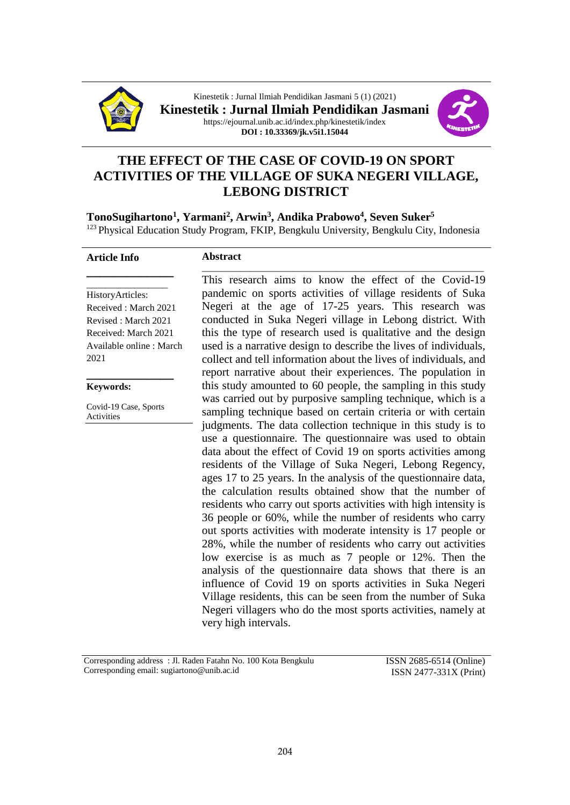



# **THE EFFECT OF THE CASE OF COVID-19 ON SPORT ACTIVITIES OF THE VILLAGE OF SUKA NEGERI VILLAGE, LEBONG DISTRICT**

**TonoSugihartono<sup>1</sup> , Yarmani<sup>2</sup> , Arwin<sup>3</sup> , Andika Prabowo<sup>4</sup> , Seven Suker<sup>5</sup>** <sup>123</sup> Physical Education Study Program, FKIP, Bengkulu University, Bengkulu City, Indonesia

#### **Article Info**

## **Abstract**

\_\_\_\_\_\_\_\_\_\_\_\_\_\_\_\_\_ HistoryArticles: Received : March 2021 Revised : March 2021 Received: March 2021 Available online : March 2021

**\_\_\_\_\_\_\_\_\_\_\_\_\_**

**Keywords:**

Covid-19 Case, Sports Activities

**\_\_\_\_\_\_\_\_\_\_\_\_\_**

\_\_\_\_\_\_\_\_\_\_\_\_\_\_\_\_\_\_\_\_\_\_\_\_\_\_\_\_\_\_\_\_\_\_\_\_\_\_\_\_\_\_\_\_\_\_\_\_\_\_\_\_\_\_\_\_\_\_\_ This research aims to know the effect of the Covid-19 pandemic on sports activities of village residents of Suka Negeri at the age of 17-25 years. This research was conducted in Suka Negeri village in Lebong district. With this the type of research used is qualitative and the design used is a narrative design to describe the lives of individuals, collect and tell information about the lives of individuals, and report narrative about their experiences. The population in this study amounted to 60 people, the sampling in this study was carried out by purposive sampling technique, which is a sampling technique based on certain criteria or with certain judgments. The data collection technique in this study is to use a questionnaire. The questionnaire was used to obtain data about the effect of Covid 19 on sports activities among residents of the Village of Suka Negeri, Lebong Regency, ages 17 to 25 years. In the analysis of the questionnaire data, the calculation results obtained show that the number of residents who carry out sports activities with high intensity is 36 people or 60%, while the number of residents who carry out sports activities with moderate intensity is 17 people or 28%, while the number of residents who carry out activities low exercise is as much as 7 people or 12%. Then the analysis of the questionnaire data shows that there is an influence of Covid 19 on sports activities in Suka Negeri Village residents, this can be seen from the number of Suka Negeri villagers who do the most sports activities, namely at very high intervals.

Corresponding address : Jl. Raden Fatahn No. 100 Kota Bengkulu Corresponding email: sugiartono@unib.ac.id

ISSN 2685-6514 (Online) ISSN 2477-331X (Print)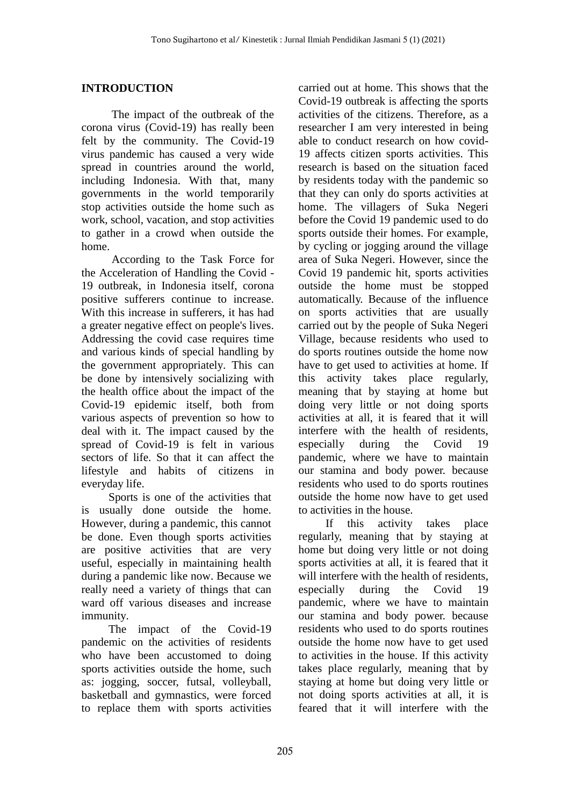## **INTRODUCTION**

The impact of the outbreak of the corona virus (Covid-19) has really been felt by the community. The Covid-19 virus pandemic has caused a very wide spread in countries around the world, including Indonesia. With that, many governments in the world temporarily stop activities outside the home such as work, school, vacation, and stop activities to gather in a crowd when outside the home.

According to the Task Force for the Acceleration of Handling the Covid - 19 outbreak, in Indonesia itself, corona positive sufferers continue to increase. With this increase in sufferers, it has had a greater negative effect on people's lives. Addressing the covid case requires time and various kinds of special handling by the government appropriately. This can be done by intensively socializing with the health office about the impact of the Covid-19 epidemic itself, both from various aspects of prevention so how to deal with it. The impact caused by the spread of Covid-19 is felt in various sectors of life. So that it can affect the lifestyle and habits of citizens in everyday life.

Sports is one of the activities that is usually done outside the home. However, during a pandemic, this cannot be done. Even though sports activities are positive activities that are very useful, especially in maintaining health during a pandemic like now. Because we really need a variety of things that can ward off various diseases and increase immunity.

The impact of the Covid-19 pandemic on the activities of residents who have been accustomed to doing sports activities outside the home, such as: jogging, soccer, futsal, volleyball, basketball and gymnastics, were forced to replace them with sports activities carried out at home. This shows that the Covid-19 outbreak is affecting the sports activities of the citizens. Therefore, as a researcher I am very interested in being able to conduct research on how covid-19 affects citizen sports activities. This research is based on the situation faced by residents today with the pandemic so that they can only do sports activities at home. The villagers of Suka Negeri before the Covid 19 pandemic used to do sports outside their homes. For example, by cycling or jogging around the village area of Suka Negeri. However, since the Covid 19 pandemic hit, sports activities outside the home must be stopped automatically. Because of the influence on sports activities that are usually carried out by the people of Suka Negeri Village, because residents who used to do sports routines outside the home now have to get used to activities at home. If this activity takes place regularly, meaning that by staying at home but doing very little or not doing sports activities at all, it is feared that it will interfere with the health of residents, especially during the Covid 19 pandemic, where we have to maintain our stamina and body power. because residents who used to do sports routines outside the home now have to get used to activities in the house.

If this activity takes place regularly, meaning that by staying at home but doing very little or not doing sports activities at all, it is feared that it will interfere with the health of residents, especially during the Covid 19 pandemic, where we have to maintain our stamina and body power. because residents who used to do sports routines outside the home now have to get used to activities in the house. If this activity takes place regularly, meaning that by staying at home but doing very little or not doing sports activities at all, it is feared that it will interfere with the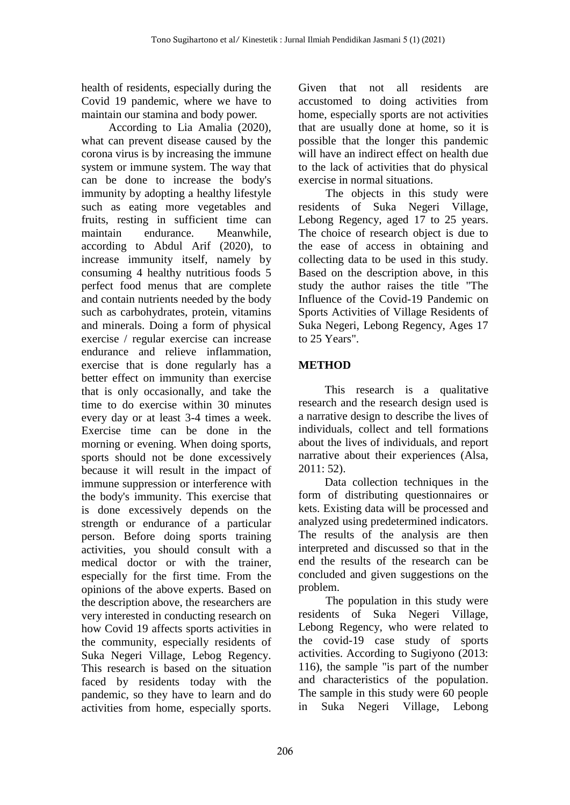health of residents, especially during the Covid 19 pandemic, where we have to maintain our stamina and body power.

According to Lia Amalia (2020), what can prevent disease caused by the corona virus is by increasing the immune system or immune system. The way that can be done to increase the body's immunity by adopting a healthy lifestyle such as eating more vegetables and fruits, resting in sufficient time can maintain endurance. Meanwhile, according to Abdul Arif (2020), to increase immunity itself, namely by consuming 4 healthy nutritious foods 5 perfect food menus that are complete and contain nutrients needed by the body such as carbohydrates, protein, vitamins and minerals. Doing a form of physical exercise / regular exercise can increase endurance and relieve inflammation, exercise that is done regularly has a better effect on immunity than exercise that is only occasionally, and take the time to do exercise within 30 minutes every day or at least 3-4 times a week. Exercise time can be done in the morning or evening. When doing sports, sports should not be done excessively because it will result in the impact of immune suppression or interference with the body's immunity. This exercise that is done excessively depends on the strength or endurance of a particular person. Before doing sports training activities, you should consult with a medical doctor or with the trainer, especially for the first time. From the opinions of the above experts. Based on the description above, the researchers are very interested in conducting research on how Covid 19 affects sports activities in the community, especially residents of Suka Negeri Village, Lebog Regency. This research is based on the situation faced by residents today with the pandemic, so they have to learn and do activities from home, especially sports. Given that not all residents are accustomed to doing activities from home, especially sports are not activities that are usually done at home, so it is possible that the longer this pandemic will have an indirect effect on health due to the lack of activities that do physical exercise in normal situations.

The objects in this study were residents of Suka Negeri Village, Lebong Regency, aged 17 to 25 years. The choice of research object is due to the ease of access in obtaining and collecting data to be used in this study. Based on the description above, in this study the author raises the title "The Influence of the Covid-19 Pandemic on Sports Activities of Village Residents of Suka Negeri, Lebong Regency, Ages 17 to 25 Years".

## **METHOD**

This research is a qualitative research and the research design used is a narrative design to describe the lives of individuals, collect and tell formations about the lives of individuals, and report narrative about their experiences (Alsa, 2011: 52).

Data collection techniques in the form of distributing questionnaires or kets. Existing data will be processed and analyzed using predetermined indicators. The results of the analysis are then interpreted and discussed so that in the end the results of the research can be concluded and given suggestions on the problem.

The population in this study were residents of Suka Negeri Village, Lebong Regency, who were related to the covid-19 case study of sports activities. According to Sugiyono (2013: 116), the sample "is part of the number and characteristics of the population. The sample in this study were 60 people in Suka Negeri Village, Lebong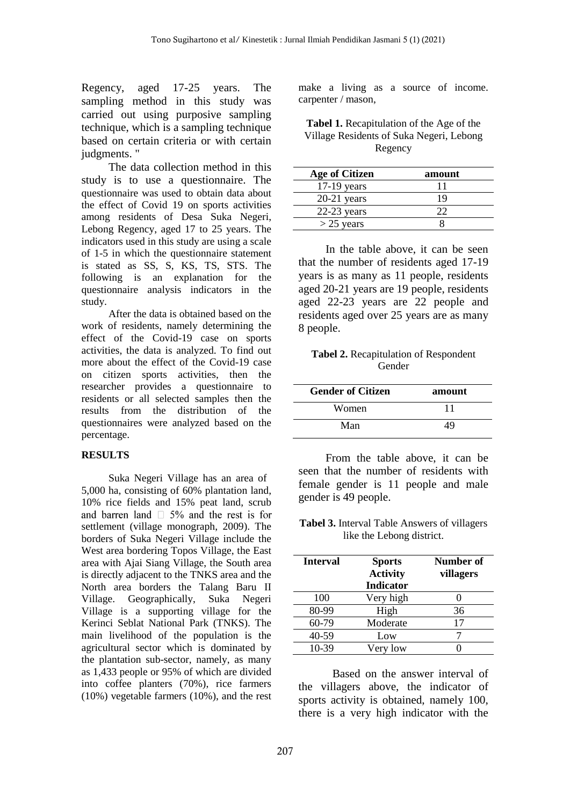Regency, aged 17-25 years. The sampling method in this study was carried out using purposive sampling technique, which is a sampling technique based on certain criteria or with certain judgments. "

The data collection method in this study is to use a questionnaire. The questionnaire was used to obtain data about the effect of Covid 19 on sports activities among residents of Desa Suka Negeri, Lebong Regency, aged 17 to 25 years. The indicators used in this study are using a scale of 1-5 in which the questionnaire statement is stated as SS, S, KS, TS, STS. The following is an explanation for the questionnaire analysis indicators in the study.

After the data is obtained based on the work of residents, namely determining the effect of the Covid-19 case on sports activities, the data is analyzed. To find out more about the effect of the Covid-19 case on citizen sports activities, then the researcher provides a questionnaire to residents or all selected samples then the results from the distribution of the questionnaires were analyzed based on the percentage.

### **RESULTS**

Suka Negeri Village has an area of 5,000 ha, consisting of 60% plantation land, 10% rice fields and 15% peat land, scrub and barren land  $\Box$  5% and the rest is for settlement (village monograph, 2009). The borders of Suka Negeri Village include the West area bordering Topos Village, the East area with Ajai Siang Village, the South area is directly adjacent to the TNKS area and the North area borders the Talang Baru II Village. Geographically, Suka Negeri Village is a supporting village for the Kerinci Seblat National Park (TNKS). The main livelihood of the population is the agricultural sector which is dominated by the plantation sub-sector, namely, as many as 1,433 people or 95% of which are divided into coffee planters (70%), rice farmers (10%) vegetable farmers (10%), and the rest make a living as a source of income. carpenter / mason,

### **Tabel 1.** Recapitulation of the Age of the Village Residents of Suka Negeri, Lebong Regency

| <b>Age of Citizen</b> | amount |
|-----------------------|--------|
| $17-19$ years         | 11     |
| $20-21$ years         | 19     |
| $22-23$ years         | フフ     |
| $>$ 25 years          |        |

In the table above, it can be seen that the number of residents aged 17-19 years is as many as 11 people, residents aged 20-21 years are 19 people, residents aged 22-23 years are 22 people and residents aged over 25 years are as many 8 people.

**Tabel 2.** Recapitulation of Respondent Gender

| <b>Gender of Citizen</b> | amount |
|--------------------------|--------|
| Women                    |        |
| Man                      | 49     |

From the table above, it can be seen that the number of residents with female gender is 11 people and male gender is 49 people.

**Tabel 3.** Interval Table Answers of villagers like the Lebong district.

| <b>Interval</b> | <b>Sports</b>    | Number of |
|-----------------|------------------|-----------|
|                 | <b>Activity</b>  | villagers |
|                 | <b>Indicator</b> |           |
| 100             | Very high        |           |
| 80-99           | High             | 36        |
| 60-79           | Moderate         | 17        |
| 40-59           | Low              |           |
| 10-39           | Very low         |           |

Based on the answer interval of the villagers above, the indicator of sports activity is obtained, namely 100, there is a very high indicator with the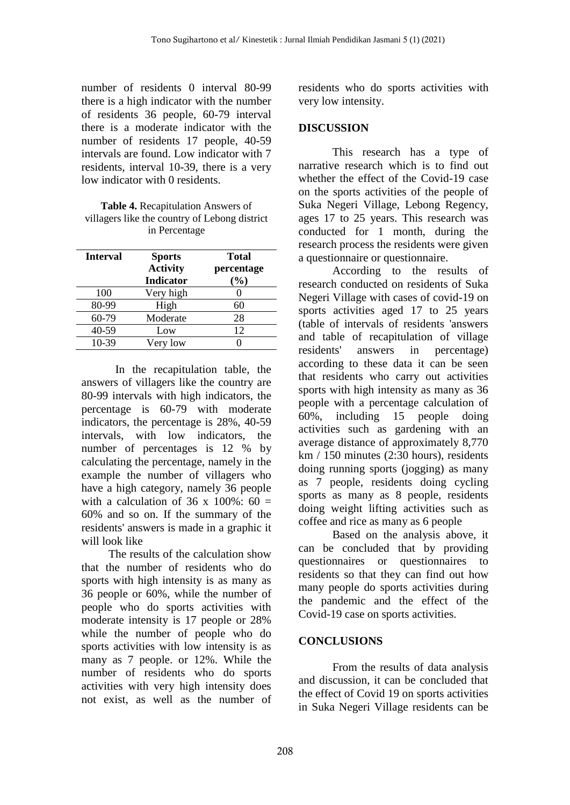number of residents 0 interval 80-99 there is a high indicator with the number of residents 36 people, 60-79 interval there is a moderate indicator with the number of residents 17 people, 40-59 intervals are found. Low indicator with 7 residents, interval 10-39, there is a very low indicator with 0 residents.

**Table 4.** Recapitulation Answers of villagers like the country of Lebong district in Percentage

| <b>Interval</b> | <b>Sports</b><br><b>Activity</b><br><b>Indicator</b> | <b>Total</b><br>percentage<br>(%) |
|-----------------|------------------------------------------------------|-----------------------------------|
| 100             | Very high                                            |                                   |
| 80-99           | High                                                 | 60                                |
| 60-79           | Moderate                                             | 28                                |
| 40-59           | Low                                                  | 12                                |
| 10-39           | Very low                                             |                                   |

In the recapitulation table, the answers of villagers like the country are 80-99 intervals with high indicators, the percentage is 60-79 with moderate indicators, the percentage is 28%, 40-59 intervals, with low indicators, the number of percentages is 12 % by calculating the percentage, namely in the example the number of villagers who have a high category, namely 36 people with a calculation of 36 x  $100\%$ : 60 = 60% and so on. If the summary of the residents' answers is made in a graphic it will look like

The results of the calculation show that the number of residents who do sports with high intensity is as many as 36 people or 60%, while the number of people who do sports activities with moderate intensity is 17 people or 28% while the number of people who do sports activities with low intensity is as many as 7 people. or 12%. While the number of residents who do sports activities with very high intensity does not exist, as well as the number of residents who do sports activities with very low intensity.

## **DISCUSSION**

This research has a type of narrative research which is to find out whether the effect of the Covid-19 case on the sports activities of the people of Suka Negeri Village, Lebong Regency, ages 17 to 25 years. This research was conducted for 1 month, during the research process the residents were given a questionnaire or questionnaire.

According to the results of research conducted on residents of Suka Negeri Village with cases of covid-19 on sports activities aged 17 to 25 years (table of intervals of residents 'answers and table of recapitulation of village residents' answers in percentage) according to these data it can be seen that residents who carry out activities sports with high intensity as many as 36 people with a percentage calculation of 60%, including 15 people doing activities such as gardening with an average distance of approximately 8,770 km / 150 minutes (2:30 hours), residents doing running sports (jogging) as many as 7 people, residents doing cycling sports as many as 8 people, residents doing weight lifting activities such as coffee and rice as many as 6 people

Based on the analysis above, it can be concluded that by providing questionnaires or questionnaires to residents so that they can find out how many people do sports activities during the pandemic and the effect of the Covid-19 case on sports activities.

### **CONCLUSIONS**

From the results of data analysis and discussion, it can be concluded that the effect of Covid 19 on sports activities in Suka Negeri Village residents can be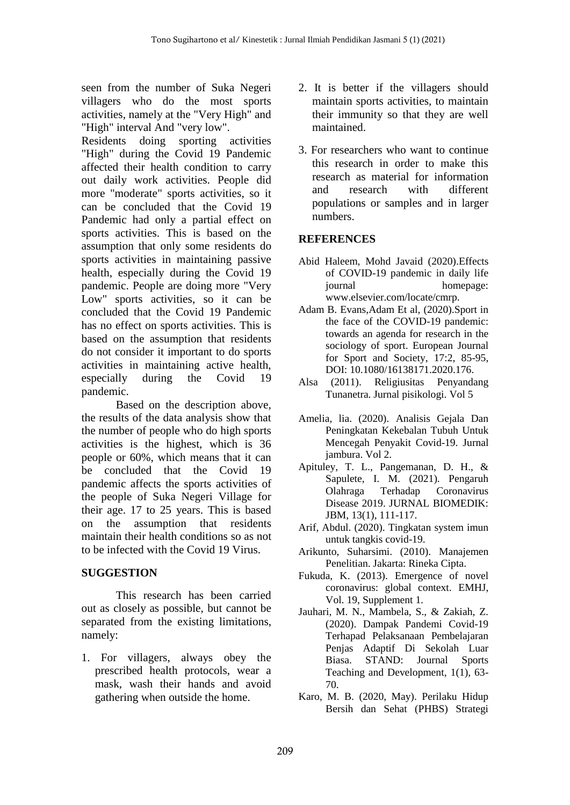seen from the number of Suka Negeri villagers who do the most sports activities, namely at the "Very High" and "High" interval And "very low".

Residents doing sporting activities "High" during the Covid 19 Pandemic affected their health condition to carry out daily work activities. People did more "moderate" sports activities, so it can be concluded that the Covid 19 Pandemic had only a partial effect on sports activities. This is based on the assumption that only some residents do sports activities in maintaining passive health, especially during the Covid 19 pandemic. People are doing more "Very Low" sports activities, so it can be concluded that the Covid 19 Pandemic has no effect on sports activities. This is based on the assumption that residents do not consider it important to do sports activities in maintaining active health, especially during the Covid 19 pandemic.

Based on the description above, the results of the data analysis show that the number of people who do high sports activities is the highest, which is 36 people or 60%, which means that it can be concluded that the Covid 19 pandemic affects the sports activities of the people of Suka Negeri Village for their age. 17 to 25 years. This is based on the assumption that residents maintain their health conditions so as not to be infected with the Covid 19 Virus.

### **SUGGESTION**

This research has been carried out as closely as possible, but cannot be separated from the existing limitations, namely:

1. For villagers, always obey the prescribed health protocols, wear a mask, wash their hands and avoid gathering when outside the home.

- 2. It is better if the villagers should maintain sports activities, to maintain their immunity so that they are well maintained.
- 3. For researchers who want to continue this research in order to make this research as material for information and research with different populations or samples and in larger numbers.

## **REFERENCES**

- Abid Haleem, Mohd Javaid (2020).Effects of COVID-19 pandemic in daily life journal homepage: www.elsevier.com/locate/cmrp.
- Adam B. Evans,Adam Et al, (2020).Sport in the face of the COVID-19 pandemic: towards an agenda for research in the sociology of sport. European Journal for Sport and Society, 17:2, 85-95, DOI: 10.1080/16138171.2020.176.
- Alsa (2011). Religiusitas Penyandang Tunanetra. Jurnal pisikologi. Vol 5
- Amelia, lia. (2020). Analisis Gejala Dan Peningkatan Kekebalan Tubuh Untuk Mencegah Penyakit Covid-19. Jurnal jambura. Vol 2.
- Apituley, T. L., Pangemanan, D. H., & Sapulete, I. M. (2021). Pengaruh Olahraga Terhadap Coronavirus Disease 2019. JURNAL BIOMEDIK: JBM, 13(1), 111-117.
- Arif, Abdul. (2020). Tingkatan system imun untuk tangkis covid-19.
- Arikunto, Suharsimi. (2010). Manajemen Penelitian. Jakarta: Rineka Cipta.
- Fukuda, K. (2013). Emergence of novel coronavirus: global context. EMHJ, Vol. 19, Supplement 1.
- Jauhari, M. N., Mambela, S., & Zakiah, Z. (2020). Dampak Pandemi Covid-19 Terhapad Pelaksanaan Pembelajaran Penjas Adaptif Di Sekolah Luar Biasa. STAND: Journal Sports Teaching and Development, 1(1), 63- 70.
- Karo, M. B. (2020, May). Perilaku Hidup Bersih dan Sehat (PHBS) Strategi